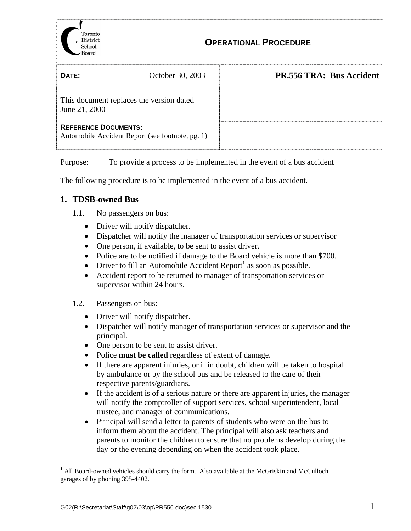

| DATF:                                                                           | October 30, 2003 | <b>PR.556 TRA: Bus Accident</b> |
|---------------------------------------------------------------------------------|------------------|---------------------------------|
| This document replaces the version dated<br>June 21, 2000                       |                  |                                 |
| <b>REFERENCE DOCUMENTS:</b><br>Automobile Accident Report (see footnote, pg. 1) |                  |                                 |

Purpose: To provide a process to be implemented in the event of a bus accident

The following procedure is to be implemented in the event of a bus accident.

## **1. TDSB-owned Bus**

- 1.1. No passengers on bus:
	- Driver will notify dispatcher.
	- Dispatcher will notify the manager of transportation services or supervisor
	- One person, if available, to be sent to assist driver.
	- Police are to be notified if damage to the Board vehicle is more than \$700.
	- Driver to fill an Automobile Accident Report<sup>1</sup> as soon as possible.
	- Accident report to be returned to manager of transportation services or supervisor within 24 hours.

## 1.2. Passengers on bus:

- Driver will notify dispatcher.
- Dispatcher will notify manager of transportation services or supervisor and the principal.
- One person to be sent to assist driver.
- Police **must be called** regardless of extent of damage.
- If there are apparent injuries, or if in doubt, children will be taken to hospital by ambulance or by the school bus and be released to the care of their respective parents/guardians.
- If the accident is of a serious nature or there are apparent injuries, the manager will notify the comptroller of support services, school superintendent, local trustee, and manager of communications.
- Principal will send a letter to parents of students who were on the bus to inform them about the accident. The principal will also ask teachers and parents to monitor the children to ensure that no problems develop during the day or the evening depending on when the accident took place.

 $\overline{a}$ 

<span id="page-0-0"></span><sup>&</sup>lt;sup>1</sup> All Board-owned vehicles should carry the form. Also available at the McGriskin and McCulloch garages of by phoning 395-4402.